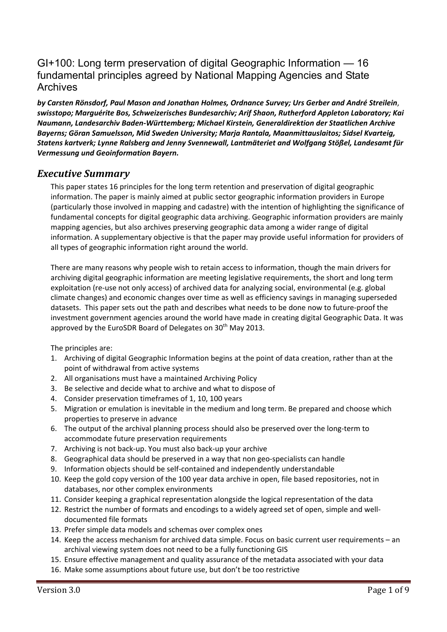## GI+100: Long term preservation of digital Geographic Information — 16 fundamental principles agreed by National Mapping Agencies and State Archives

*by Carsten Rönsdorf, Paul Mason and Jonathan Holmes, Ordnance Survey; Urs Gerber and André Streilein*, *swisstopo; Marguérite Bos, Schweizerisches Bundesarchiv; Arif Shaon, Rutherford Appleton Laboratory; Kai Naumann, Landesarchiv Baden‐Württemberg; Michael Kirstein, Generaldirektion der Staatlichen Archive Bayerns; Göran Samuelsson, Mid Sweden University; Marja Rantala, Maanmittauslaitos; Sidsel Kvarteig, Statens kartverk; Lynne Ralsberg and Jenny Svennewall, Lantmäteriet and Wolfgang Stößel, Landesamt für Vermessung und Geoinformation Bayern.*

## *Executive Summary*

This paper states 16 principles for the long term retention and preservation of digital geographic information. The paper is mainly aimed at public sector geographic information providers in Europe (particularly those involved in mapping and cadastre) with the intention of highlighting the significance of fundamental concepts for digital geographic data archiving. Geographic information providers are mainly mapping agencies, but also archives preserving geographic data among a wider range of digital information. A supplementary objective is that the paper may provide useful information for providers of all types of geographic information right around the world.

There are many reasons why people wish to retain access to information, though the main drivers for archiving digital geographic information are meeting legislative requirements, the short and long term exploitation (re-use not only access) of archived data for analyzing social, environmental (e.g. global climate changes) and economic changes over time as well as efficiency savings in managing superseded datasets. This paper sets out the path and describes what needs to be done now to future‐proof the investment government agencies around the world have made in creating digital Geographic Data. It was approved by the EuroSDR Board of Delegates on 30<sup>th</sup> May 2013.

The principles are:

- 1. Archiving of digital Geographic Information begins at the point of data creation, rather than at the point of withdrawal from active systems
- 2. All organisations must have a maintained Archiving Policy
- 3. Be selective and decide what to archive and what to dispose of
- 4. Consider preservation timeframes of 1, 10, 100 years
- 5. Migration or emulation is inevitable in the medium and long term. Be prepared and choose which properties to preserve in advance
- 6. The output of the archival planning process should also be preserved over the long-term to accommodate future preservation requirements
- 7. Archiving is not back‐up. You must also back‐up your archive
- 8. Geographical data should be preserved in a way that non geo‐specialists can handle
- 9. Information objects should be self-contained and independently understandable
- 10. Keep the gold copy version of the 100 year data archive in open, file based repositories, not in databases, nor other complex environments
- 11. Consider keeping a graphical representation alongside the logical representation of the data
- 12. Restrict the number of formats and encodings to a widely agreed set of open, simple and well‐ documented file formats
- 13. Prefer simple data models and schemas over complex ones
- 14. Keep the access mechanism for archived data simple. Focus on basic current user requirements an archival viewing system does not need to be a fully functioning GIS
- 15. Ensure effective management and quality assurance of the metadata associated with your data
- 16. Make some assumptions about future use, but don't be too restrictive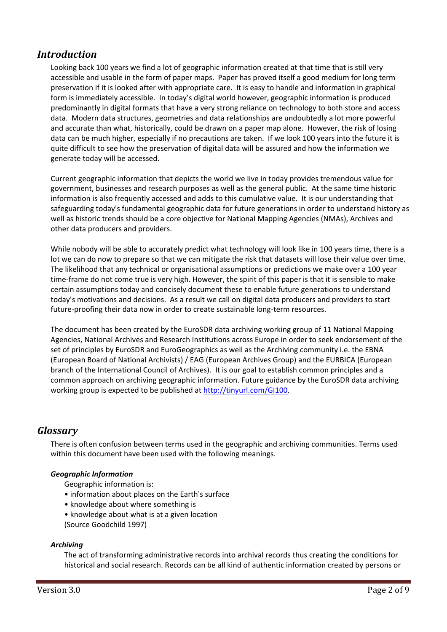## *Introduction*

Looking back 100 years we find a lot of geographic information created at that time that is still very accessible and usable in the form of paper maps. Paper has proved itself a good medium for long term preservation if it is looked after with appropriate care. It is easy to handle and information in graphical form is immediately accessible. In today's digital world however, geographic information is produced predominantly in digital formats that have a very strong reliance on technology to both store and access data. Modern data structures, geometries and data relationships are undoubtedly a lot more powerful and accurate than what, historically, could be drawn on a paper map alone. However, the risk of losing data can be much higher, especially if no precautions are taken. If we look 100 years into the future it is quite difficult to see how the preservation of digital data will be assured and how the information we generate today will be accessed.

Current geographic information that depicts the world we live in today provides tremendous value for government, businesses and research purposes as well as the general public. At the same time historic information is also frequently accessed and adds to this cumulative value. It is our understanding that safeguarding today's fundamental geographic data for future generations in order to understand history as well as historic trends should be a core objective for National Mapping Agencies (NMAs), Archives and other data producers and providers.

While nobody will be able to accurately predict what technology will look like in 100 years time, there is a lot we can do now to prepare so that we can mitigate the risk that datasets will lose their value over time. The likelihood that any technical or organisational assumptions or predictions we make over a 100 year time-frame do not come true is very high. However, the spirit of this paper is that it is sensible to make certain assumptions today and concisely document these to enable future generations to understand today's motivations and decisions. As a result we call on digital data producers and providers to start future-proofing their data now in order to create sustainable long-term resources.

The document has been created by the EuroSDR data archiving working group of 11 National Mapping Agencies, National Archives and Research Institutions across Europe in order to seek endorsement of the set of principles by EuroSDR and EuroGeographics as well as the Archiving community i.e. the EBNA (European Board of National Archivists) / EAG (European Archives Group) and the EURBICA (European branch of the International Council of Archives). It is our goal to establish common principles and a common approach on archiving geographic information. Future guidance by the EuroSDR data archiving working group is expected to be published at http://tinyurl.com/GI100.

## *Glossary*

There is often confusion between terms used in the geographic and archiving communities. Terms used within this document have been used with the following meanings.

### *Geographic Information*

- Geographic information is:
- information about places on the Earth's surface
- knowledge about where something is
- knowledge about what is at a given location
- (Source Goodchild 1997)

#### *Archiving*

The act of transforming administrative records into archival records thus creating the conditions for historical and social research. Records can be all kind of authentic information created by persons or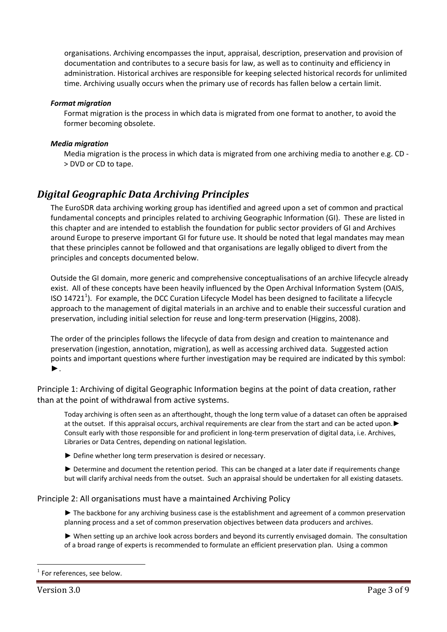organisations. Archiving encompasses the input, appraisal, description, preservation and provision of documentation and contributes to a secure basis for law, as well as to continuity and efficiency in administration. Historical archives are responsible for keeping selected historical records for unlimited time. Archiving usually occurs when the primary use of records has fallen below a certain limit.

#### *Format migration*

Format migration is the process in which data is migrated from one format to another, to avoid the former becoming obsolete.

### *Media migration*

Media migration is the process in which data is migrated from one archiving media to another e.g. CD -> DVD or CD to tape.

## *Digital Geographic Data Archiving Principles*

The EuroSDR data archiving working group has identified and agreed upon a set of common and practical fundamental concepts and principles related to archiving Geographic Information (GI). These are listed in this chapter and are intended to establish the foundation for public sector providers of GI and Archives around Europe to preserve important GI for future use. It should be noted that legal mandates may mean that these principles cannot be followed and that organisations are legally obliged to divert from the principles and concepts documented below.

Outside the GI domain, more generic and comprehensive conceptualisations of an archive lifecycle already exist. All of these concepts have been heavily influenced by the Open Archival Information System (OAIS, ISO 14721<sup>1</sup>). For example, the DCC Curation Lifecycle Model has been designed to facilitate a lifecycle approach to the management of digital materials in an archive and to enable their successful curation and preservation, including initial selection for reuse and long-term preservation (Higgins, 2008).

The order of the principles follows the lifecycle of data from design and creation to maintenance and preservation (ingestion, annotation, migration), as well as accessing archived data. Suggested action points and important questions where further investigation may be required are indicated by this symbol: ►.

Principle 1: Archiving of digital Geographic Information begins at the point of data creation, rather than at the point of withdrawal from active systems.

Today archiving is often seen as an afterthought, though the long term value of a dataset can often be appraised at the outset. If this appraisal occurs, archival requirements are clear from the start and can be acted upon.► Consult early with those responsible for and proficient in long‐term preservation of digital data, i.e. Archives, Libraries or Data Centres, depending on national legislation.

► Define whether long term preservation is desired or necessary.

► Determine and document the retention period. This can be changed at a later date if requirements change but will clarify archival needs from the outset. Such an appraisal should be undertaken for all existing datasets.

Principle 2: All organisations must have a maintained Archiving Policy

- ► The backbone for any archiving business case is the establishment and agreement of a common preservation planning process and a set of common preservation objectives between data producers and archives.
- ► When setting up an archive look across borders and beyond its currently envisaged domain. The consultation of a broad range of experts is recommended to formulate an efficient preservation plan. Using a common

 $\overline{a}$ 

For references, see below.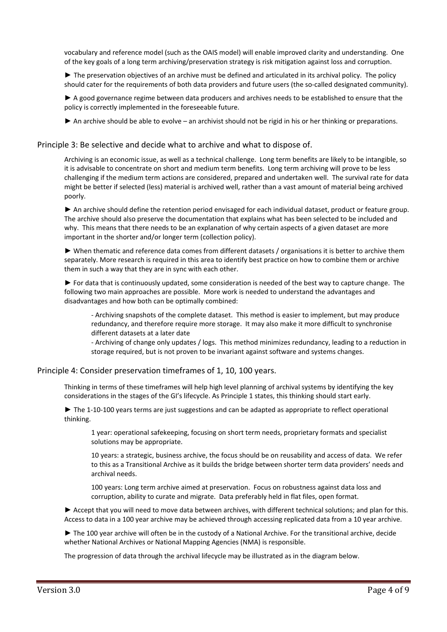vocabulary and reference model (such as the OAIS model) will enable improved clarity and understanding. One of the key goals of a long term archiving/preservation strategy is risk mitigation against loss and corruption.

► The preservation objectives of an archive must be defined and articulated in its archival policy. The policy should cater for the requirements of both data providers and future users (the so-called designated community).

▶ A good governance regime between data producers and archives needs to be established to ensure that the policy is correctly implemented in the foreseeable future.

► An archive should be able to evolve – an archivist should not be rigid in his or her thinking or preparations.

#### Principle 3: Be selective and decide what to archive and what to dispose of.

Archiving is an economic issue, as well as a technical challenge. Long term benefits are likely to be intangible, so it is advisable to concentrate on short and medium term benefits. Long term archiving will prove to be less challenging if the medium term actions are considered, prepared and undertaken well. The survival rate for data might be better if selected (less) material is archived well, rather than a vast amount of material being archived poorly.

► An archive should define the retention period envisaged for each individual dataset, product or feature group. The archive should also preserve the documentation that explains what has been selected to be included and why. This means that there needs to be an explanation of why certain aspects of a given dataset are more important in the shorter and/or longer term (collection policy).

► When thematic and reference data comes from different datasets / organisations it is better to archive them separately. More research is required in this area to identify best practice on how to combine them or archive them in such a way that they are in sync with each other.

► For data that is continuously updated, some consideration is needed of the best way to capture change. The following two main approaches are possible. More work is needed to understand the advantages and disadvantages and how both can be optimally combined:

‐ Archiving snapshots of the complete dataset. This method is easier to implement, but may produce redundancy, and therefore require more storage. It may also make it more difficult to synchronise different datasets at a later date

‐ Archiving of change only updates / logs. This method minimizes redundancy, leading to a reduction in storage required, but is not proven to be invariant against software and systems changes.

#### Principle 4: Consider preservation timeframes of 1, 10, 100 years.

Thinking in terms of these timeframes will help high level planning of archival systems by identifying the key considerations in the stages of the GI's lifecycle. As Principle 1 states, this thinking should start early.

► The 1-10-100 years terms are just suggestions and can be adapted as appropriate to reflect operational thinking.

1 year: operational safekeeping, focusing on short term needs, proprietary formats and specialist solutions may be appropriate.

10 years: a strategic, business archive, the focus should be on reusability and access of data. We refer to this as a Transitional Archive as it builds the bridge between shorter term data providers' needs and archival needs.

100 years: Long term archive aimed at preservation. Focus on robustness against data loss and corruption, ability to curate and migrate. Data preferably held in flat files, open format.

► Accept that you will need to move data between archives, with different technical solutions; and plan for this. Access to data in a 100 year archive may be achieved through accessing replicated data from a 10 year archive.

► The 100 year archive will often be in the custody of a National Archive. For the transitional archive, decide whether National Archives or National Mapping Agencies (NMA) is responsible.

The progression of data through the archival lifecycle may be illustrated as in the diagram below.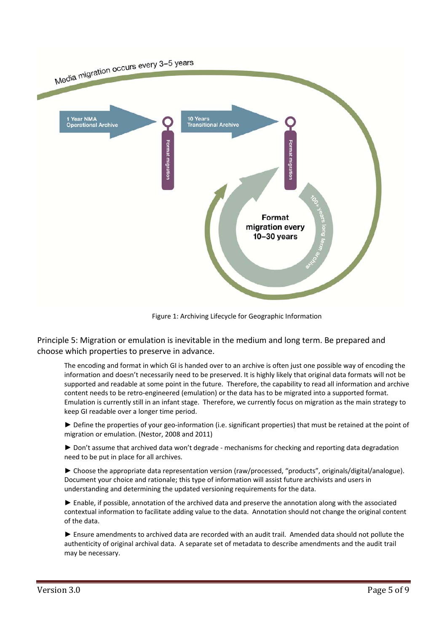

Figure 1: Archiving Lifecycle for Geographic Information

Principle 5: Migration or emulation is inevitable in the medium and long term. Be prepared and choose which properties to preserve in advance.

The encoding and format in which GI is handed over to an archive is often just one possible way of encoding the information and doesn't necessarily need to be preserved. It is highly likely that original data formats will not be supported and readable at some point in the future. Therefore, the capability to read all information and archive content needs to be retro‐engineered (emulation) or the data has to be migrated into a supported format. Emulation is currently still in an infant stage. Therefore, we currently focus on migration as the main strategy to keep GI readable over a longer time period.

► Define the properties of your geo‐information (i.e. significant properties) that must be retained at the point of migration or emulation. (Nestor, 2008 and 2011)

► Don't assume that archived data won't degrade - mechanisms for checking and reporting data degradation need to be put in place for all archives.

► Choose the appropriate data representation version (raw/processed, "products", originals/digital/analogue). Document your choice and rationale; this type of information will assist future archivists and users in understanding and determining the updated versioning requirements for the data.

► Enable, if possible, annotation of the archived data and preserve the annotation along with the associated contextual information to facilitate adding value to the data. Annotation should not change the original content of the data.

► Ensure amendments to archived data are recorded with an audit trail. Amended data should not pollute the authenticity of original archival data. A separate set of metadata to describe amendments and the audit trail may be necessary.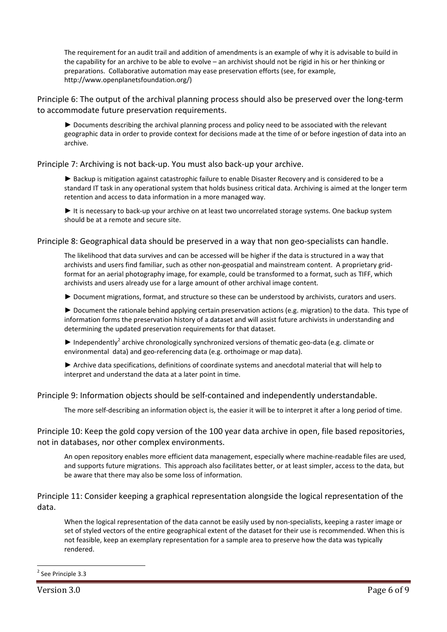The requirement for an audit trail and addition of amendments is an example of why it is advisable to build in the capability for an archive to be able to evolve – an archivist should not be rigid in his or her thinking or preparations. Collaborative automation may ease preservation efforts (see, for example, http://www.openplanetsfoundation.org/)

Principle 6: The output of the archival planning process should also be preserved over the long‐term to accommodate future preservation requirements.

► Documents describing the archival planning process and policy need to be associated with the relevant geographic data in order to provide context for decisions made at the time of or before ingestion of data into an archive.

Principle 7: Archiving is not back‐up. You must also back‐up your archive.

► Backup is mitigation against catastrophic failure to enable Disaster Recovery and is considered to be a standard IT task in any operational system that holds business critical data. Archiving is aimed at the longer term retention and access to data information in a more managed way.

► It is necessary to back-up your archive on at least two uncorrelated storage systems. One backup system should be at a remote and secure site.

Principle 8: Geographical data should be preserved in a way that non geo-specialists can handle.

The likelihood that data survives and can be accessed will be higher if the data is structured in a way that archivists and users find familiar, such as other non‐geospatial and mainstream content. A proprietary grid‐ format for an aerial photography image, for example, could be transformed to a format, such as TIFF, which archivists and users already use for a large amount of other archival image content.

► Document migrations, format, and structure so these can be understood by archivists, curators and users.

► Document the rationale behind applying certain preservation actions (e.g. migration) to the data. This type of information forms the preservation history of a dataset and will assist future archivists in understanding and determining the updated preservation requirements for that dataset.

 $\blacktriangleright$  Independently<sup>2</sup> archive chronologically synchronized versions of thematic geo-data (e.g. climate or environmental data) and geo-referencing data (e.g. orthoimage or map data).

► Archive data specifications, definitions of coordinate systems and anecdotal material that will help to interpret and understand the data at a later point in time.

Principle 9: Information objects should be self‐contained and independently understandable.

The more self-describing an information object is, the easier it will be to interpret it after a long period of time.

Principle 10: Keep the gold copy version of the 100 year data archive in open, file based repositories, not in databases, nor other complex environments.

An open repository enables more efficient data management, especially where machine‐readable files are used, and supports future migrations. This approach also facilitates better, or at least simpler, access to the data, but be aware that there may also be some loss of information.

Principle 11: Consider keeping a graphical representation alongside the logical representation of the data.

When the logical representation of the data cannot be easily used by non-specialists, keeping a raster image or set of styled vectors of the entire geographical extent of the dataset for their use is recommended. When this is not feasible, keep an exemplary representation for a sample area to preserve how the data was typically rendered.

 $\overline{a}$ 

<sup>2</sup> See Principle 3.3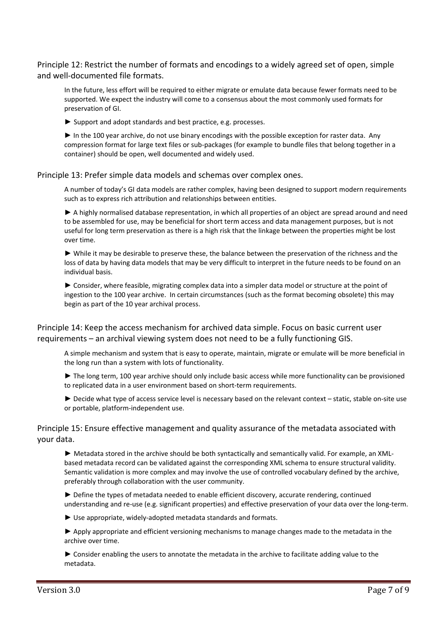Principle 12: Restrict the number of formats and encodings to a widely agreed set of open, simple and well‐documented file formats.

In the future, less effort will be required to either migrate or emulate data because fewer formats need to be supported. We expect the industry will come to a consensus about the most commonly used formats for preservation of GI.

► Support and adopt standards and best practice, e.g. processes.

► In the 100 year archive, do not use binary encodings with the possible exception for raster data. Any compression format for large text files or sub‐packages (for example to bundle files that belong together in a container) should be open, well documented and widely used.

Principle 13: Prefer simple data models and schemas over complex ones.

A number of today's GI data models are rather complex, having been designed to support modern requirements such as to express rich attribution and relationships between entities.

► A highly normalised database representation, in which all properties of an object are spread around and need to be assembled for use, may be beneficial for short term access and data management purposes, but is not useful for long term preservation as there is a high risk that the linkage between the properties might be lost over time.

► While it may be desirable to preserve these, the balance between the preservation of the richness and the loss of data by having data models that may be very difficult to interpret in the future needs to be found on an individual basis.

► Consider, where feasible, migrating complex data into a simpler data model or structure at the point of ingestion to the 100 year archive. In certain circumstances (such as the format becoming obsolete) this may begin as part of the 10 year archival process.

Principle 14: Keep the access mechanism for archived data simple. Focus on basic current user requirements – an archival viewing system does not need to be a fully functioning GIS.

A simple mechanism and system that is easy to operate, maintain, migrate or emulate will be more beneficial in the long run than a system with lots of functionality.

► The long term, 100 year archive should only include basic access while more functionality can be provisioned to replicated data in a user environment based on short‐term requirements.

► Decide what type of access service level is necessary based on the relevant context – static, stable on‐site use or portable, platform‐independent use.

### Principle 15: Ensure effective management and quality assurance of the metadata associated with your data.

► Metadata stored in the archive should be both syntactically and semantically valid. For example, an XML‐ based metadata record can be validated against the corresponding XML schema to ensure structural validity. Semantic validation is more complex and may involve the use of controlled vocabulary defined by the archive, preferably through collaboration with the user community.

► Define the types of metadata needed to enable efficient discovery, accurate rendering, continued understanding and re-use (e.g. significant properties) and effective preservation of your data over the long-term.

► Use appropriate, widely‐adopted metadata standards and formats.

► Apply appropriate and efficient versioning mechanisms to manage changes made to the metadata in the archive over time.

► Consider enabling the users to annotate the metadata in the archive to facilitate adding value to the metadata.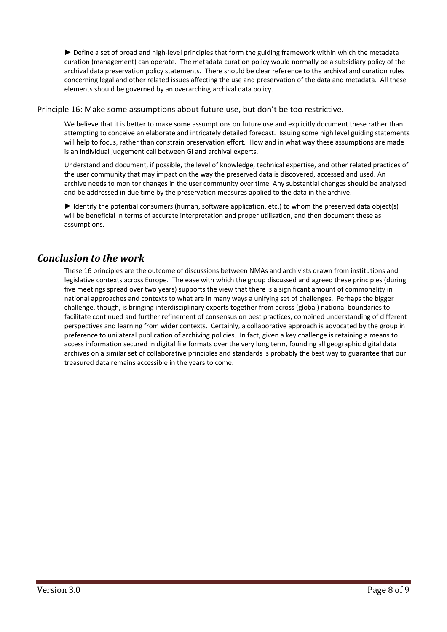► Define a set of broad and high-level principles that form the guiding framework within which the metadata curation (management) can operate. The metadata curation policy would normally be a subsidiary policy of the archival data preservation policy statements. There should be clear reference to the archival and curation rules concerning legal and other related issues affecting the use and preservation of the data and metadata. All these elements should be governed by an overarching archival data policy.

### Principle 16: Make some assumptions about future use, but don't be too restrictive.

We believe that it is better to make some assumptions on future use and explicitly document these rather than attempting to conceive an elaborate and intricately detailed forecast. Issuing some high level guiding statements will help to focus, rather than constrain preservation effort. How and in what way these assumptions are made is an individual judgement call between GI and archival experts.

Understand and document, if possible, the level of knowledge, technical expertise, and other related practices of the user community that may impact on the way the preserved data is discovered, accessed and used. An archive needs to monitor changes in the user community over time. Any substantial changes should be analysed and be addressed in due time by the preservation measures applied to the data in the archive.

► Identify the potential consumers (human, software application, etc.) to whom the preserved data object(s) will be beneficial in terms of accurate interpretation and proper utilisation, and then document these as assumptions.

## *Conclusion to the work*

These 16 principles are the outcome of discussions between NMAs and archivists drawn from institutions and legislative contexts across Europe. The ease with which the group discussed and agreed these principles (during five meetings spread over two years) supports the view that there is a significant amount of commonality in national approaches and contexts to what are in many ways a unifying set of challenges. Perhaps the bigger challenge, though, is bringing interdisciplinary experts together from across (global) national boundaries to facilitate continued and further refinement of consensus on best practices, combined understanding of different perspectives and learning from wider contexts. Certainly, a collaborative approach is advocated by the group in preference to unilateral publication of archiving policies. In fact, given a key challenge is retaining a means to access information secured in digital file formats over the very long term, founding all geographic digital data archives on a similar set of collaborative principles and standards is probably the best way to guarantee that our treasured data remains accessible in the years to come.